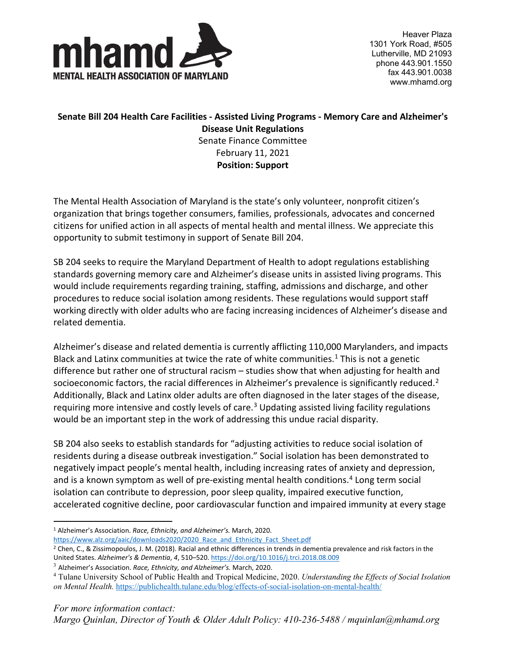

Heaver Plaza 1301 York Road, #505 Lutherville, MD 21093 phone 443.901.1550 fax 443.901.0038 www.mhamd.org

## **Senate Bill 204 Health Care Facilities - Assisted Living Programs - Memory Care and Alzheimer's Disease Unit Regulations** Senate Finance Committee February 11, 2021 **Position: Support**

The Mental Health Association of Maryland is the state's only volunteer, nonprofit citizen's organization that brings together consumers, families, professionals, advocates and concerned citizens for unified action in all aspects of mental health and mental illness. We appreciate this opportunity to submit testimony in support of Senate Bill 204.

SB 204 seeks to require the Maryland Department of Health to adopt regulations establishing standards governing memory care and Alzheimer's disease units in assisted living programs. This would include requirements regarding training, staffing, admissions and discharge, and other procedures to reduce social isolation among residents. These regulations would support staff working directly with older adults who are facing increasing incidences of Alzheimer's disease and related dementia.

Alzheimer's disease and related dementia is currently afflicting 110,000 Marylanders, and impacts Black and Latinx communities at twice the rate of white communities. $1$  This is not a genetic difference but rather one of structural racism – studies show that when adjusting for health and socioeconomic factors, the racial differences in Alzheimer's prevalence is significantly reduced.<sup>[2](#page-0-1)</sup> Additionally, Black and Latinx older adults are often diagnosed in the later stages of the disease, requiring more intensive and costly levels of care.<sup>[3](#page-0-2)</sup> Updating assisted living facility regulations would be an important step in the work of addressing this undue racial disparity.

SB 204 also seeks to establish standards for "adjusting activities to reduce social isolation of residents during a disease outbreak investigation." Social isolation has been demonstrated to negatively impact people's mental health, including increasing rates of anxiety and depression, and is a known symptom as well of pre-existing mental health conditions.<sup>[4](#page-0-3)</sup> Long term social isolation can contribute to depression, poor sleep quality, impaired executive function, accelerated cognitive decline, poor cardiovascular function and impaired immunity at every stage

<span id="page-0-0"></span><sup>1</sup> Alzheimer's Association. *Race, Ethnicity, and Alzheimer's.* March, 2020. [https://www.alz.org/aaic/downloads2020/2020\\_Race\\_and\\_Ethnicity\\_Fact\\_Sheet.pdf](https://www.alz.org/aaic/downloads2020/2020_Race_and_Ethnicity_Fact_Sheet.pdf)

<span id="page-0-1"></span><sup>2</sup> Chen, C., & Zissimopoulos, J. M. (2018). Racial and ethnic differences in trends in dementia prevalence and risk factors in the United States. *Alzheimer's & Dementia*, *4*, 510–520[. https://doi.org/10.1016/j.trci.2018.08.009](https://doi.org/10.1016/j.trci.2018.08.009)

<span id="page-0-2"></span><sup>3</sup> Alzheimer's Association. *Race, Ethnicity, and Alzheimer's.* March, 2020.

<span id="page-0-3"></span><sup>4</sup> Tulane University School of Public Health and Tropical Medicine, 2020. *Understanding the Effects of Social Isolation on Mental Health.* <https://publichealth.tulane.edu/blog/effects-of-social-isolation-on-mental-health/>